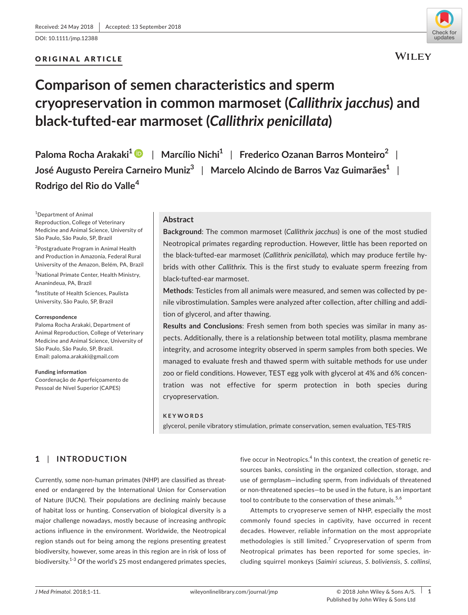DOI: 10.1111/jmp.12388

# ORIGINAL ARTICLE



**WILEY** 

# **Comparison of semen characteristics and sperm cryopreservation in common marmoset (***Callithrix jacchus***) and black-tufted-ear marmoset (***Callithrix penicillata***)**

**Paloma Rocha Arakaki<sup>1</sup>** | **Marcílio Nichi<sup>1</sup>** | **Frederico Ozanan Barros Monteiro<sup>2</sup>** | **José Augusto Pereira Carneiro Muniz<sup>3</sup>** | **Marcelo Alcindo de Barros Vaz Guimarães<sup>1</sup>** | **Rodrigo del Rio do Valle<sup>4</sup>**

1 Department of Animal Reproduction, College of Veterinary Medicine and Animal Science, University of São Paulo, São Paulo, SP, Brazil

<sup>2</sup>Postgraduate Program in Animal Health and Production in Amazonia, Federal Rural University of the Amazon, Belém, PA, Brazil

3 National Primate Center, Health Ministry, Ananindeua, PA, Brazil

4 Institute of Health Sciences, Paulista University, São Paulo, SP, Brazil

#### **Correspondence**

Paloma Rocha Arakaki, Department of Animal Reproduction, College of Veterinary Medicine and Animal Science, University of São Paulo, São Paulo, SP, Brazil. Email: [paloma.arakaki@gmail.com](mailto:paloma.arakaki@gmail.com)

**Funding information**

Coordenação de Aperfeiçoamento de Pessoal de Nível Superior (CAPES)

# **Abstract**

**Background**: The common marmoset (*Callithrix jacchus*) is one of the most studied Neotropical primates regarding reproduction. However, little has been reported on the black-tufted-ear marmoset (*Callithrix penicillata*), which may produce fertile hybrids with other *Callithrix*. This is the first study to evaluate sperm freezing from black-tufted-ear marmoset.

**Methods**: Testicles from all animals were measured, and semen was collected by penile vibrostimulation. Samples were analyzed after collection, after chilling and addition of glycerol, and after thawing.

**Results and Conclusions**: Fresh semen from both species was similar in many aspects. Additionally, there is a relationship between total motility, plasma membrane integrity, and acrosome integrity observed in sperm samples from both species. We managed to evaluate fresh and thawed sperm with suitable methods for use under zoo or field conditions. However, TEST egg yolk with glycerol at 4% and 6% concentration was not effective for sperm protection in both species during cryopreservation.

#### **KEYWORDS**

glycerol, penile vibratory stimulation, primate conservation, semen evaluation, TES-TRIS

# **1** | **INTRODUCTION**

Currently, some non-human primates (NHP) are classified as threatened or endangered by the International Union for Conservation of Nature (IUCN). Their populations are declining mainly because of habitat loss or hunting. Conservation of biological diversity is a major challenge nowadays, mostly because of increasing anthropic actions influence in the environment. Worldwide, the Neotropical region stands out for being among the regions presenting greatest biodiversity, however, some areas in this region are in risk of loss of biodiversity.<sup>1-3</sup> Of the world's 25 most endangered primates species,

five occur in Neotropics. $<sup>4</sup>$  In this context, the creation of genetic re-</sup> sources banks, consisting in the organized collection, storage, and use of germplasm—including sperm, from individuals of threatened or non-threatened species—to be used in the future, is an important tool to contribute to the conservation of these animals.<sup>5,6</sup>

Attempts to cryopreserve semen of NHP, especially the most commonly found species in captivity, have occurred in recent decades. However, reliable information on the most appropriate methodologies is still limited.<sup>7</sup> Cryopreservation of sperm from Neotropical primates has been reported for some species, including squirrel monkeys (*Saimiri sciureus*, *S. boliviensis*, *S. collinsi*,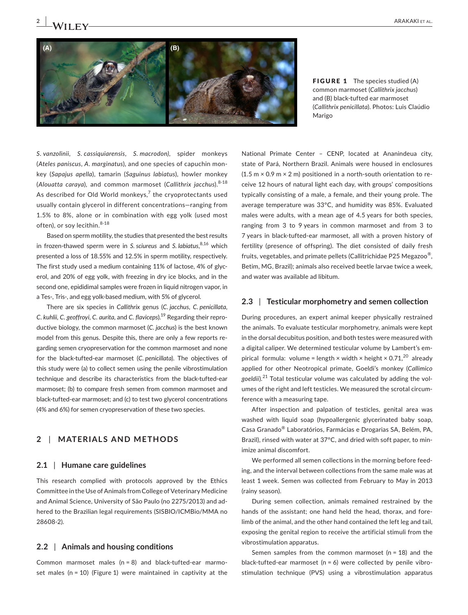

FIGURE 1 The species studied (A) common marmoset (*Callithrix jacchus*) and (B) black-tufted ear marmoset (*Callithrix penicillata*). Photos: Luis Claúdio Marigo

*S. vanzolinii*, *S. cassiquiarensis*, *S. macrodon)*, spider monkeys (*Ateles paniscus*, *A. marginatus*), and one species of capuchin monkey (*Sapajus apella*), tamarin (*Saguinus labiatus*), howler monkey (*Alouatta caraya*), and common marmoset (*Callithrix jacchus*).8-18 As described for Old World monkeys, $7$  the cryoprotectants used usually contain glycerol in different concentrations—ranging from 1.5% to 8%, alone or in combination with egg yolk (used most often), or soy lecithin. 8-18

Based on sperm motility, the studies that presented the best results in frozen-thawed sperm were in *S. sciureus* and *S. labiatus*, 8,16 which presented a loss of 18.55% and 12.5% in sperm motility, respectively. The first study used a medium containing 11% of lactose, 4% of glycerol, and 20% of egg yolk, with freezing in dry ice blocks, and in the second one, epididimal samples were frozen in liquid nitrogen vapor, in a Tes-, Tris-, and egg yolk-based medium, with 5% of glycerol.

There are six species in *Callithrix* genus (*C. jacchus*, *C. penicillata*, *C. kuhlii, C. geoffroyi*, *C. aurita*, and *C. flaviceps*).19 Regarding their reproductive biology, the common marmoset (*C. jacchus*) is the best known model from this genus. Despite this, there are only a few reports regarding semen cryopreservation for the common marmoset and none for the black-tufted-ear marmoset (*C. penicillata*). The objectives of this study were (a) to collect semen using the penile vibrostimulation technique and describe its characteristics from the black-tufted-ear marmoset; (b) to compare fresh semen from common marmoset and black-tufted-ear marmoset; and (c) to test two glycerol concentrations (4% and 6%) for semen cryopreservation of these two species.

# **2** | **MATERIALS AND METHODS**

#### **2.1** | **Humane care guidelines**

This research complied with protocols approved by the Ethics Committee in the Use of Animals from College of Veterinary Medicine and Animal Science, University of São Paulo (no 2275/2013) and adhered to the Brazilian legal requirements (SISBIO/ICMBio/MMA no 28608-2).

#### **2.2** | **Animals and housing conditions**

Common marmoset males (n = 8) and black-tufted-ear marmoset males ( $n = 10$ ) (Figure 1) were maintained in captivity at the National Primate Center – CENP, located at Ananindeua city, state of Pará, Northern Brazil. Animals were housed in enclosures  $(1.5 \text{ m} \times 0.9 \text{ m} \times 2 \text{ m})$  positioned in a north-south orientation to receive 12 hours of natural light each day, with groups' compositions typically consisting of a male, a female, and their young prole. The average temperature was 33°C, and humidity was 85%. Evaluated males were adults, with a mean age of 4.5 years for both species, ranging from 3 to 9 years in common marmoset and from 3 to 7 years in black-tufted-ear marmoset, all with a proven history of fertility (presence of offspring). The diet consisted of daily fresh fruits, vegetables, and primate pellets (Callitrichidae P25 Megazoo®, Betim, MG, Brazil); animals also received beetle larvae twice a week, and water was available ad libitum.

#### **2.3** | **Testicular morphometry and semen collection**

During procedures, an expert animal keeper physically restrained the animals. To evaluate testicular morphometry, animals were kept in the dorsal decubitus position, and both testes were measured with a digital caliper. We determined testicular volume by Lambert's empirical formula: volume = length × width × height × 0.71,<sup>20</sup> already applied for other Neotropical primate, Goeldi's monkey (*Callimico goeldii*).21 Total testicular volume was calculated by adding the volumes of the right and left testicles. We measured the scrotal circumference with a measuring tape.

After inspection and palpation of testicles, genital area was washed with liquid soap (hypoallergenic glycerinated baby soap, Casa Granado® Laboratórios, Farmácias e Drogarias SA, Belém, PA, Brazil), rinsed with water at 37°C, and dried with soft paper, to minimize animal discomfort.

We performed all semen collections in the morning before feeding, and the interval between collections from the same male was at least 1 week. Semen was collected from February to May in 2013 (rainy season).

During semen collection, animals remained restrained by the hands of the assistant; one hand held the head, thorax, and forelimb of the animal, and the other hand contained the left leg and tail, exposing the genital region to receive the artificial stimuli from the vibrostimulation apparatus.

Semen samples from the common marmoset (n = 18) and the black-tufted-ear marmoset ( $n = 6$ ) were collected by penile vibrostimulation technique (PVS) using a vibrostimulation apparatus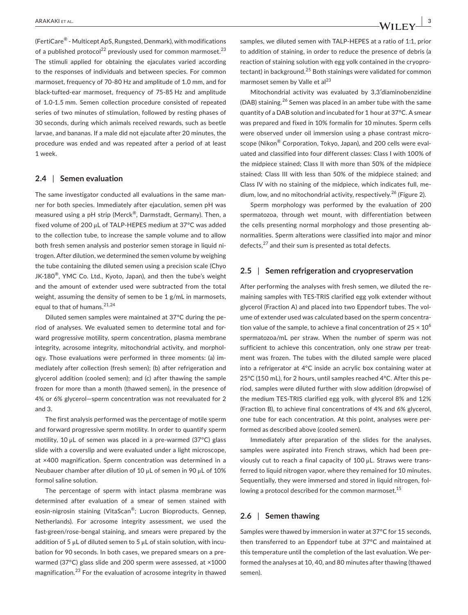(FertiCare® - Multicept ApS, Rungsted, Denmark), with modifications of a published protocol<sup>22</sup> previously used for common marmoset.<sup>23</sup> The stimuli applied for obtaining the ejaculates varied according to the responses of individuals and between species. For common marmoset, frequency of 70-80 Hz and amplitude of 1.0 mm, and for black-tufted-ear marmoset, frequency of 75-85 Hz and amplitude of 1.0-1.5 mm. Semen collection procedure consisted of repeated series of two minutes of stimulation, followed by resting phases of 30 seconds, during which animals received rewards, such as beetle larvae, and bananas. If a male did not ejaculate after 20 minutes, the procedure was ended and was repeated after a period of at least 1 week.

### **2.4** | **Semen evaluation**

The same investigator conducted all evaluations in the same manner for both species. Immediately after ejaculation, semen pH was measured using a pH strip (Merck®, Darmstadt, Germany). Then, a fixed volume of 200 μL of TALP-HEPES medium at 37°C was added to the collection tube, to increase the sample volume and to allow both fresh semen analysis and posterior semen storage in liquid nitrogen. After dilution, we determined the semen volume by weighing the tube containing the diluted semen using a precision scale (Chyo JK-180 $^{\circledR}$ , YMC Co. Ltd., Kyoto, Japan), and then the tube's weight and the amount of extender used were subtracted from the total weight, assuming the density of semen to be 1 g/mL in marmosets, equal to that of humans.<sup>21,24</sup>

Diluted semen samples were maintained at 37°C during the period of analyses. We evaluated semen to determine total and forward progressive motility, sperm concentration, plasma membrane integrity, acrosome integrity, mitochondrial activity, and morphology. Those evaluations were performed in three moments: (a) immediately after collection (fresh semen); (b) after refrigeration and glycerol addition (cooled semen); and (c) after thawing the sample frozen for more than a month (thawed semen), in the presence of 4% or 6% glycerol—sperm concentration was not reevaluated for 2 and 3.

The first analysis performed was the percentage of motile sperm and forward progressive sperm motility. In order to quantify sperm motility, 10 μL of semen was placed in a pre-warmed (37°C) glass slide with a coverslip and were evaluated under a light microscope, at ×400 magnification. Sperm concentration was determined in a Neubauer chamber after dilution of 10 μL of semen in 90 μL of 10% formol saline solution.

The percentage of sperm with intact plasma membrane was determined after evaluation of a smear of semen stained with eosin-nigrosin staining (VitaScan®; Lucron Bioproducts, Gennep, Netherlands). For acrosome integrity assessment, we used the fast-green/rose-bengal staining, and smears were prepared by the addition of 5 μL of diluted semen to 5 μL of stain solution, with incubation for 90 seconds. In both cases, we prepared smears on a prewarmed (37°C) glass slide and 200 sperm were assessed, at ×1000 magnification.23 For the evaluation of acrosome integrity in thawed samples, we diluted semen with TALP-HEPES at a ratio of 1:1, prior to addition of staining, in order to reduce the presence of debris (a reaction of staining solution with egg yolk contained in the cryoprotectant) in background.<sup>25</sup> Both stainings were validated for common marmoset semen by Valle et al<sup>23</sup>

Mitochondrial activity was evaluated by 3,3′diaminobenzidine (DAB) staining.<sup>26</sup> Semen was placed in an amber tube with the same quantity of a DAB solution and incubated for 1 hour at 37°C. A smear was prepared and fixed in 10% formalin for 10 minutes. Sperm cells were observed under oil immersion using a phase contrast microscope (Nikon® Corporation, Tokyo, Japan), and 200 cells were evaluated and classified into four different classes: Class I with 100% of the midpiece stained; Class II with more than 50% of the midpiece stained; Class III with less than 50% of the midpiece stained; and Class IV with no staining of the midpiece, which indicates full, medium, low, and no mitochondrial activity, respectively.<sup>26</sup> (Figure 2).

Sperm morphology was performed by the evaluation of 200 spermatozoa, through wet mount, with differentiation between the cells presenting normal morphology and those presenting abnormalities. Sperm alterations were classified into major and minor defects,27 and their sum is presented as total defects.

# **2.5** | **Semen refrigeration and cryopreservation**

After performing the analyses with fresh semen, we diluted the remaining samples with TES-TRIS clarified egg yolk extender without glycerol (Fraction A) and placed into two Eppendorf tubes. The volume of extender used was calculated based on the sperm concentration value of the sample, to achieve a final concentration of  $25 \times 10^6$ spermatozoa/mL per straw. When the number of sperm was not sufficient to achieve this concentration, only one straw per treatment was frozen. The tubes with the diluted sample were placed into a refrigerator at 4°C inside an acrylic box containing water at 25°C (150 mL), for 2 hours, until samples reached 4°C. After this period, samples were diluted further with slow addition (dropwise) of the medium TES-TRIS clarified egg yolk, with glycerol 8% and 12% (Fraction B), to achieve final concentrations of 4% and 6% glycerol, one tube for each concentration. At this point, analyses were performed as described above (cooled semen).

Immediately after preparation of the slides for the analyses, samples were aspirated into French straws, which had been previously cut to reach a final capacity of 100 μL. Straws were transferred to liquid nitrogen vapor, where they remained for 10 minutes. Sequentially, they were immersed and stored in liquid nitrogen, following a protocol described for the common marmoset.<sup>15</sup>

# **2.6** | **Semen thawing**

Samples were thawed by immersion in water at 37°C for 15 seconds, then transferred to an Eppendorf tube at 37°C and maintained at this temperature until the completion of the last evaluation. We performed the analyses at 10, 40, and 80 minutes after thawing (thawed semen).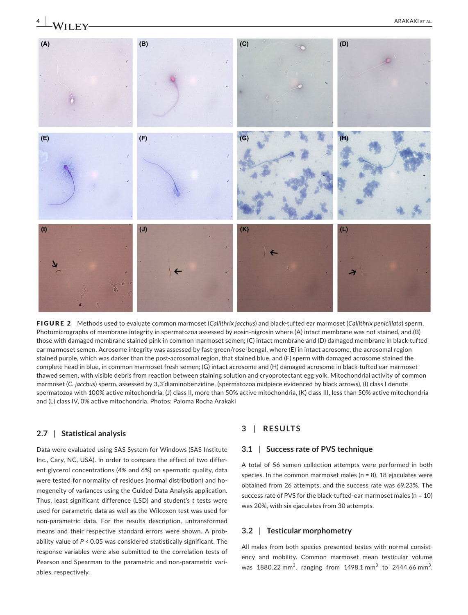

FIGURE 2 Methods used to evaluate common marmoset (*Callithrix jacchus*) and black-tufted ear marmoset (*Callithrix penicillata*) sperm. Photomicrographs of membrane integrity in spermatozoa assessed by eosin-nigrosin where (A) intact membrane was not stained, and (B) those with damaged membrane stained pink in common marmoset semen; (C) intact membrane and (D) damaged membrane in black-tufted ear marmoset semen. Acrosome integrity was assessed by fast-green/rose-bengal, where (E) in intact acrosome, the acrosomal region stained purple, which was darker than the post-acrosomal region, that stained blue, and (F) sperm with damaged acrosome stained the complete head in blue, in common marmoset fresh semen; (G) intact acrosome and (H) damaged acrosome in black-tufted ear marmoset thawed semen, with visible debris from reaction between staining solution and cryoprotectant egg yolk. Mitochondrial activity of common marmoset (*C. jacchus*) sperm, assessed by 3,3′diaminobenzidine, (spermatozoa midpiece evidenced by black arrows), (I) class I denote spermatozoa with 100% active mitochondria, (J) class II, more than 50% active mitochondria, (K) class III, less than 50% active mitochondria and (L) class IV, 0% active mitochondria. Photos: Paloma Rocha Arakaki

#### **2.7** | **Statistical analysis**

Data were evaluated using SAS System for Windows (SAS Institute Inc., Cary, NC, USA). In order to compare the effect of two different glycerol concentrations (4% and 6%) on spermatic quality, data were tested for normality of residues (normal distribution) and homogeneity of variances using the Guided Data Analysis application. Thus, least significant difference (LSD) and student's *t* tests were used for parametric data as well as the Wilcoxon test was used for non-parametric data. For the results description, untransformed means and their respective standard errors were shown. A probability value of *P* < 0.05 was considered statistically significant. The response variables were also submitted to the correlation tests of Pearson and Spearman to the parametric and non-parametric variables, respectively.

# **3** | **RESULTS**

# **3.1** | **Success rate of PVS technique**

A total of 56 semen collection attempts were performed in both species. In the common marmoset males ( $n = 8$ ), 18 ejaculates were obtained from 26 attempts, and the success rate was 69.23%. The success rate of PVS for the black-tufted-ear marmoset males (n = 10) was 20%, with six ejaculates from 30 attempts.

### **3.2** | **Testicular morphometry**

All males from both species presented testes with normal consistency and mobility. Common marmoset mean testicular volume was  $1880.22 \text{ mm}^3$ , ranging from  $1498.1 \text{ mm}^3$  to  $2444.66 \text{ mm}^3$ .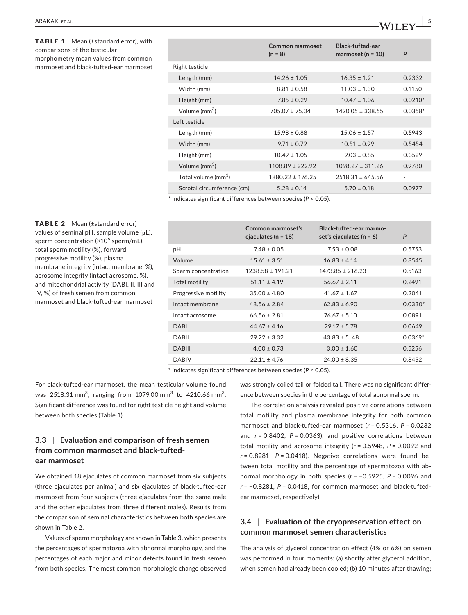TABLE 1 Mean (±standard error), with comparisons of the testicular morphometry mean values from common marmoset and black-tufted-ear marmoset

|                                 | Common marmoset<br>$(n = 8)$ | Black-tufted-ear<br>marmoset ( $n = 10$ ) | P         |
|---------------------------------|------------------------------|-------------------------------------------|-----------|
| Right testicle                  |                              |                                           |           |
| Length (mm)                     | $14.26 \pm 1.05$             | $16.35 \pm 1.21$                          | 0.2332    |
| Width (mm)                      | $8.81 \pm 0.58$              | $11.03 \pm 1.30$                          | 0.1150    |
| Height (mm)                     | $7.85 \pm 0.29$              | $10.47 \pm 1.06$                          | $0.0210*$ |
| Volume (mm <sup>3</sup> )       | $705.07 \pm 75.04$           | $1420.05 \pm 338.55$                      | $0.0358*$ |
| Left testicle                   |                              |                                           |           |
| Length (mm)                     | $15.98 \pm 0.88$             | $15.06 \pm 1.57$                          | 0.5943    |
| Width (mm)                      | $9.71 \pm 0.79$              | $10.51 \pm 0.99$                          | 0.5454    |
| Height (mm)                     | $10.49 \pm 1.05$             | $9.03 \pm 0.85$                           | 0.3529    |
| Volume (mm <sup>3</sup> )       | $1108.89 \pm 222.92$         | $1098.27 \pm 311.26$                      | 0.9780    |
| Total volume (mm <sup>3</sup> ) | $1880.22 \pm 176.25$         | $2518.31 \pm 645.56$                      | ٠         |
| Scrotal circumference (cm)      | $5.28 \pm 0.14$              | $5.70 \pm 0.18$                           | 0.0977    |

\* indicates significant differences between species (*P* < 0.05).

TABLE 2 Mean (±standard error) values of seminal pH, sample volume (μL), sperm concentration (×10<sup>6</sup> sperm/mL), total sperm motility (%), forward progressive motility (%), plasma membrane integrity (intact membrane, %), acrosome integrity (intact acrosome, %), and mitochondrial activity (DABI, II, III and IV, %) of fresh semen from common marmoset and black-tufted-ear marmoset

|                      | Common marmoset's<br>ejaculates ( $n = 18$ ) | Black-tufted-ear marmo-<br>set's ejaculates ( $n = 6$ ) | P         |
|----------------------|----------------------------------------------|---------------------------------------------------------|-----------|
| рH                   | $7.48 \pm 0.05$                              | $7.53 \pm 0.08$                                         | 0.5753    |
| Volume               | $15.61 \pm 3.51$                             | $16.83 \pm 4.14$                                        | 0.8545    |
| Sperm concentration  | $1238.58 \pm 191.21$                         | $1473.85 \pm 216.23$                                    | 0.5163    |
| Total motility       | $51.11 \pm 4.19$                             | $56.67 \pm 2.11$                                        | 0.2491    |
| Progressive motility | $35.00 \pm 4.80$                             | $41.67 \pm 1.67$                                        | 0.2041    |
| Intact membrane      | $48.56 \pm 2.84$                             | $62.83 \pm 6.90$                                        | $0.0330*$ |
| Intact acrosome      | $66.56 \pm 2.81$                             | $76.67 \pm 5.10$                                        | 0.0891    |
| <b>DABI</b>          | $44.67 \pm 4.16$                             | $29.17 \pm 5.78$                                        | 0.0649    |
| <b>DABII</b>         | $29.22 \pm 3.32$                             | $43.83 \pm 5.48$                                        | $0.0369*$ |
| <b>DABIII</b>        | $4.00 \pm 0.73$                              | $3.00 \pm 1.60$                                         | 0.5256    |
| <b>DABIV</b>         | $22.11 \pm 4.76$                             | $24.00 \pm 8.35$                                        | 0.8452    |

\* indicates significant differences between species (*P* < 0.05).

For black-tufted-ear marmoset, the mean testicular volume found was 2518.31 mm<sup>3</sup>, ranging from 1079.00 mm<sup>3</sup> to 4210.66 mm<sup>3</sup>. Significant difference was found for right testicle height and volume between both species (Table 1).

# **3.3** | **Evaluation and comparison of fresh semen from common marmoset and black-tuftedear marmoset**

We obtained 18 ejaculates of common marmoset from six subjects (three ejaculates per animal) and six ejaculates of black-tufted-ear marmoset from four subjects (three ejaculates from the same male and the other ejaculates from three different males). Results from the comparison of seminal characteristics between both species are shown in Table 2.

Values of sperm morphology are shown in Table 3, which presents the percentages of spermatozoa with abnormal morphology, and the percentages of each major and minor defects found in fresh semen from both species. The most common morphologic change observed

was strongly coiled tail or folded tail. There was no significant difference between species in the percentage of total abnormal sperm.

The correlation analysis revealed positive correlations between total motility and plasma membrane integrity for both common marmoset and black-tufted-ear marmoset (*r* = 0.5316, *P* = 0.0232 and *r* = 0.8402, *P* = 0.0363), and positive correlations between total motility and acrosome integrity (*r* = 0.5948, *P* = 0.0092 and *r* = 0.8281, *P* = 0.0418). Negative correlations were found between total motility and the percentage of spermatozoa with abnormal morphology in both species (*r* = −0.5925, *P* = 0.0096 and *r* = −0.8281, *P* = 0.0418, for common marmoset and black-tuftedear marmoset, respectively).

# **3.4** | **Evaluation of the cryopreservation effect on common marmoset semen characteristics**

The analysis of glycerol concentration effect (4% or 6%) on semen was performed in four moments: (a) shortly after glycerol addition, when semen had already been cooled; (b) 10 minutes after thawing;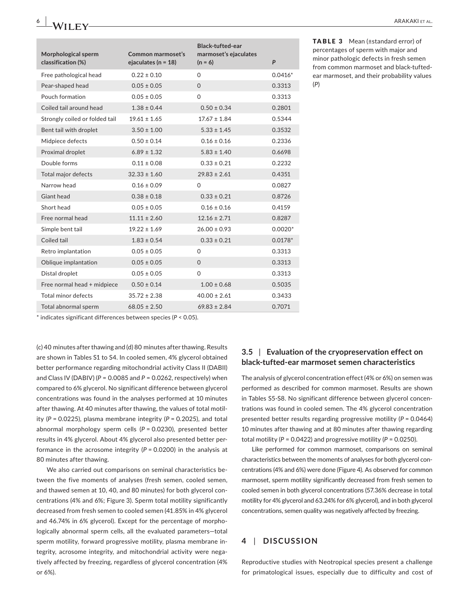| Morphological sperm<br>classification (%) | Common marmoset's<br>ejaculates ( $n = 18$ ) | <b>Black-tufted-ear</b><br>marmoset's ejaculates<br>$(n = 6)$ | P         |
|-------------------------------------------|----------------------------------------------|---------------------------------------------------------------|-----------|
| Free pathological head                    | $0.22 \pm 0.10$                              | $\Omega$                                                      | $0.0416*$ |
| Pear-shaped head                          | $0.05 \pm 0.05$                              | $\Omega$                                                      | 0.3313    |
| Pouch formation                           | $0.05 \pm 0.05$                              | $\Omega$                                                      | 0.3313    |
| Coiled tail around head                   | $1.38 \pm 0.44$                              | $0.50 \pm 0.34$                                               | 0.2801    |
| Strongly coiled or folded tail            | $19.61 \pm 1.65$                             | $17.67 \pm 1.84$                                              | 0.5344    |
| Bent tail with droplet                    | $3.50 \pm 1.00$                              | $5.33 \pm 1.45$                                               | 0.3532    |
| Midpiece defects                          | $0.50 \pm 0.14$                              | $0.16 \pm 0.16$                                               | 0.2336    |
| Proximal droplet                          | $6.89 \pm 1.32$                              | $5.83 \pm 1.40$                                               | 0.6698    |
| Double forms                              | $0.11 \pm 0.08$                              | $0.33 \pm 0.21$                                               | 0.2232    |
| Total major defects                       | $32.33 \pm 1.60$                             | $29.83 \pm 2.61$                                              | 0.4351    |
| Narrow head                               | $0.16 \pm 0.09$                              | 0                                                             | 0.0827    |
| Giant head                                | $0.38 \pm 0.18$                              | $0.33 \pm 0.21$                                               | 0.8726    |
| Short head                                | $0.05 \pm 0.05$                              | $0.16 \pm 0.16$                                               | 0.4159    |
| Free normal head                          | $11.11 \pm 2.60$                             | $12.16 \pm 2.71$                                              | 0.8287    |
| Simple bent tail                          | $19.22 \pm 1.69$                             | $26.00 \pm 0.93$                                              | $0.0020*$ |
| Coiled tail                               | $1.83 \pm 0.54$                              | $0.33 \pm 0.21$                                               | $0.0178*$ |
| Retro implantation                        | $0.05 \pm 0.05$                              | $\Omega$                                                      | 0.3313    |
| Oblique implantation                      | $0.05 \pm 0.05$                              | $\mathbf{O}$                                                  | 0.3313    |
| Distal droplet                            | $0.05 \pm 0.05$                              | $\Omega$                                                      | 0.3313    |
| Free normal head + midpiece               | $0.50 \pm 0.14$                              | $1.00 \pm 0.68$                                               | 0.5035    |
| Total minor defects                       | $35.72 \pm 2.38$                             | $40.00 \pm 2.61$                                              | 0.3433    |
| Total abnormal sperm                      | $68.05 \pm 2.50$                             | $69.83 \pm 2.84$                                              | 0.7071    |

ear marmoset, and their probability values (*P*)

\* indicates significant differences between species (*P* < 0.05).

(c) 40 minutes after thawing and (d) 80 minutes after thawing. Results are shown in Tables S1 to S4. In cooled semen, 4% glycerol obtained better performance regarding mitochondrial activity Class II (DABII) and Class IV (DABIV) (*P* = 0.0085 and *P* = 0.0262, respectively) when compared to 6% glycerol. No significant difference between glycerol concentrations was found in the analyses performed at 10 minutes after thawing. At 40 minutes after thawing, the values of total motility (*P* = 0.0225), plasma membrane integrity (*P* = 0.2025), and total abnormal morphology sperm cells (*P* = 0.0230), presented better results in 4% glycerol. About 4% glycerol also presented better performance in the acrosome integrity (*P* = 0.0200) in the analysis at 80 minutes after thawing.

We also carried out comparisons on seminal characteristics between the five moments of analyses (fresh semen, cooled semen, and thawed semen at 10, 40, and 80 minutes) for both glycerol concentrations (4% and 6%; Figure 3). Sperm total motility significantly decreased from fresh semen to cooled semen (41.85% in 4% glycerol and 46.74% in 6% glycerol). Except for the percentage of morphologically abnormal sperm cells, all the evaluated parameters—total sperm motility, forward progressive motility, plasma membrane integrity, acrosome integrity, and mitochondrial activity were negatively affected by freezing, regardless of glycerol concentration (4% or 6%).

# **3.5** | **Evaluation of the cryopreservation effect on black-tufted-ear marmoset semen characteristics**

The analysis of glycerol concentration effect (4% or 6%) on semen was performed as described for common marmoset. Results are shown in Tables S5-S8. No significant difference between glycerol concentrations was found in cooled semen. The 4% glycerol concentration presented better results regarding progressive motility (*P* = 0.0464) 10 minutes after thawing and at 80 minutes after thawing regarding total motility (*P* = 0.0422) and progressive motility (*P* = 0.0250).

Like performed for common marmoset, comparisons on seminal characteristics between the moments of analyses for both glycerol concentrations (4% and 6%) were done (Figure 4). As observed for common marmoset, sperm motility significantly decreased from fresh semen to cooled semen in both glycerol concentrations (57.36% decrease in total motility for 4% glycerol and 63.24% for 6% glycerol), and in both glycerol concentrations, semen quality was negatively affected by freezing.

# **4** | **DISCUSSION**

Reproductive studies with Neotropical species present a challenge for primatological issues, especially due to difficulty and cost of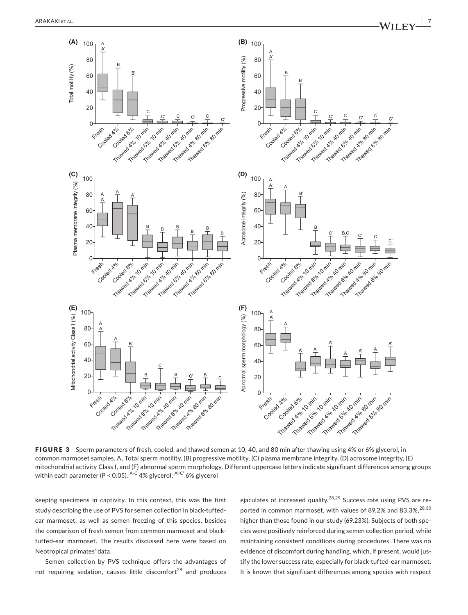

FIGURE 3 Sperm parameters of fresh, cooled, and thawed semen at 10, 40, and 80 min after thawing using 4% or 6% glycerol, in common marmoset samples. A, Total sperm motility, (B) progressive motility, (C) plasma membrane integrity, (D) acrosome integrity, (E) mitochondrial activity Class I, and (F) abnormal sperm morphology. Different uppercase letters indicate significant differences among groups within each parameter ( $P < 0.05$ ). A-C 4% glycerol, A'-C' 6% glycerol

keeping specimens in captivity. In this context, this was the first study describing the use of PVS for semen collection in black-tuftedear marmoset, as well as semen freezing of this species, besides the comparison of fresh semen from common marmoset and blacktufted-ear marmoset. The results discussed here were based on Neotropical primates' data.

Semen collection by PVS technique offers the advantages of not requiring sedation, causes little discomfort<sup>28</sup> and produces ejaculates of increased quality.<sup>28,29</sup> Success rate using PVS are reported in common marmoset, with values of 89.2% and 83.3%, <sup>28,30</sup> higher than those found in our study (69.23%). Subjects of both species were positively reinforced during semen collection period, while maintaining consistent conditions during procedures. There was no evidence of discomfort during handling, which, if present, would justify the lower success rate, especially for black-tufted-ear marmoset. It is known that significant differences among species with respect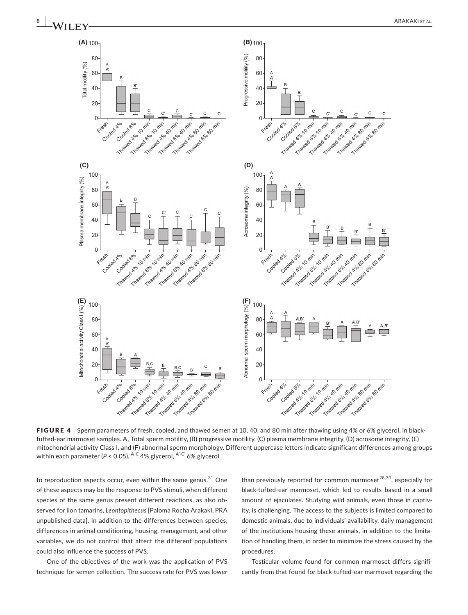

FIGURE 4 Sperm parameters of fresh, cooled, and thawed semen at 10, 40, and 80 min after thawing using 4% or 6% glycerol, in blacktufted-ear marmoset samples. A, Total sperm motility, (B) progressive motility, (C) plasma membrane integrity, (D) acrosome integrity, (E) mitochondrial activity Class I, and (F) abnormal sperm morphology. Different uppercase letters indicate significant differences among groups within each parameter ( $P < 0.05$ ). A-C 4% glycerol, A-C' 6% glycerol

to reproduction aspects occur, even within the same genus. $31$  One of these aspects may be the response to PVS stimuli, when different species of the same genus present different reactions, as also observed for lion tamarins, *Leontopithecus* [Paloma Rocha Arakaki, PRA unpublished data]. In addition to the differences between species, differences in animal conditioning, housing, management, and other variables, we do not control that affect the different populations could also influence the success of PVS.

One of the objectives of the work was the application of PVS technique for semen collection. The success rate for PVS was lower

than previously reported for common marmoset $^{28,30}$ , especially for black-tufted-ear marmoset, which led to results based in a small amount of ejaculates. Studying wild animals, even those in captivity, is challenging. The access to the subjects is limited compared to domestic animals, due to individuals' availability, daily management of the institutions housing these animals, in addition to the limitation of handling them, in order to minimize the stress caused by the procedures.

Testicular volume found for common marmoset differs significantly from that found for black-tufted-ear marmoset regarding the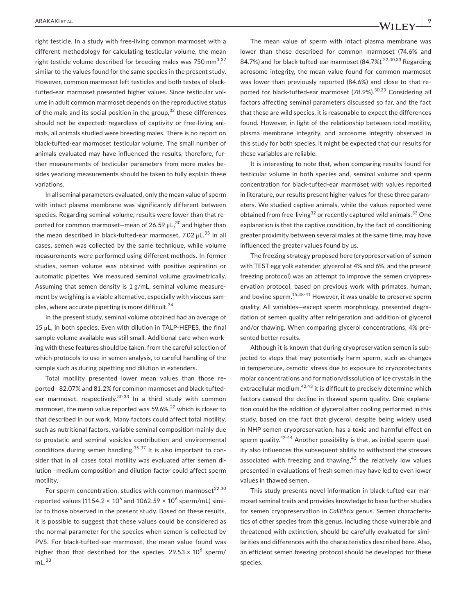right testicle. In a study with free-living common marmoset with a different methodology for calculating testicular volume, the mean right testicle volume described for breeding males was 750 mm $^{3,32}$ similar to the values found for the same species in the present study. However, common marmoset left testicles and both testes of blacktufted-ear marmoset presented higher values. Since testicular volume in adult common marmoset depends on the reproductive status of the male and its social position in the group,  $32$  these differences should not be expected; regardless of captivity or free-living animals, all animals studied were breeding males. There is no report on black-tufted-ear marmoset testicular volume. The small number of animals evaluated may have influenced the results; therefore, further measurements of testicular parameters from more males besides yearlong measurements should be taken to fully explain these variations.

In all seminal parameters evaluated, only the mean value of sperm with intact plasma membrane was significantly different between species. Regarding seminal volume, results were lower than that reported for common marmoset—mean of  $26.59 \mu L$ ,<sup>30</sup> and higher than the mean described in black-tufted-ear marmoset,  $7.02 \mu L^{33}$  In all cases, semen was collected by the same technique, while volume measurements were performed using different methods. In former studies, semen volume was obtained with positive aspiration or automatic pipettes. We measured seminal volume gravimetrically. Assuming that semen density is 1 g/mL, seminal volume measurement by weighing is a viable alternative, especially with viscous samples, where accurate pipetting is more difficult.<sup>34</sup>

In the present study, seminal volume obtained had an average of 15 μL, in both species. Even with dilution in TALP-HEPES, the final sample volume available was still small. Additional care when working with these features should be taken, from the careful selection of which protocols to use in semen analysis, to careful handling of the sample such as during pipetting and dilution in extenders.

Total motility presented lower mean values than those reported—82.07% and 81.2% for common marmoset and black-tuftedear marmoset, respectively.<sup>30,33</sup> In a third study with common marmoset, the mean value reported was  $59.6\%$ <sup>22</sup> which is closer to that described in our work. Many factors could affect total motility, such as nutritional factors, variable seminal composition mainly due to prostatic and seminal vesicles contribution and environmental conditions during semen handling.<sup>35-37</sup> It is also important to consider that in all cases total motility was evaluated after semen dilution—medium composition and dilution factor could affect sperm motility.

For sperm concentration, studies with common marmoset $^{22,30}$ reported values (1154.2  $\times$  10 $^{6}$  and 1062.59  $\times$  10 $^{6}$  sperm/mL) similar to those observed in the present study. Based on these results, it is possible to suggest that these values could be considered as the normal parameter for the species when semen is collected by PVS. For black-tufted-ear marmoset, the mean value found was higher than that described for the species, 29.53  $\times\ 10^6$  sperm/  $mL<sup>33</sup>$ 

The mean value of sperm with intact plasma membrane was lower than those described for common marmoset (74.6% and 84.7%) and for black-tufted-ear marmoset  $(84.7\%)$ <sup>22,30,33</sup> Regarding acrosome integrity, the mean value found for common marmoset was lower than previously reported (84.6%) and close to that reported for black-tufted-ear marmoset (78.9%).<sup>30,33</sup> Considering all factors affecting seminal parameters discussed so far, and the fact that these are wild species, it is reasonable to expect the differences found. However, in light of the relationship between total motility, plasma membrane integrity, and acrosome integrity observed in this study for both species, it might be expected that our results for these variables are reliable.

It is interesting to note that, when comparing results found for testicular volume in both species and, seminal volume and sperm concentration for black-tufted-ear marmoset with values reported in literature, our results present higher values for these three parameters. We studied captive animals, while the values reported were obtained from free-living<sup>32</sup> or recently captured wild animals.<sup>33</sup> One explanation is that the captive condition, by the fact of conditioning greater proximity between several males at the same time, may have influenced the greater values found by us.

The freezing strategy proposed here (cryopreservation of semen with TEST egg yolk extender, glycerol at 4% and 6%, and the present freezing protocol) was an attempt to improve the semen cryopreservation protocol, based on previous work with primates, human, and bovine sperm.<sup>15,38-41</sup> However, it was unable to preserve sperm quality. All variables—except sperm morphology, presented degradation of semen quality after refrigeration and addition of glycerol and/or thawing. When comparing glycerol concentrations, 4% presented better results.

Although it is known that during cryopreservation semen is subjected to steps that may potentially harm sperm, such as changes in temperature, osmotic stress due to exposure to cryoprotectants molar concentrations and formation/dissolution of ice crystals in the extracellular medium,  $42,43$  it is difficult to precisely determine which factors caused the decline in thawed sperm quality. One explanation could be the addition of glycerol after cooling performed in this study, based on the fact that glycerol, despite being widely used in NHP semen cryopreservation, has a toxic and harmful effect on sperm quality.<sup>42-44</sup> Another possibility is that, as initial sperm quality also influences the subsequent ability to withstand the stresses associated with freezing and thawing, $43$  the relatively low values presented in evaluations of fresh semen may have led to even lower values in thawed semen.

This study presents novel information in black-tufted-ear marmoset seminal traits and provides knowledge to base further studies for semen cryopreservation in *Callithrix* genus. Semen characteristics of other species from this genus, including those vulnerable and threatened with extinction, should be carefully evaluated for similarities and differences with the characteristics described here. Also, an efficient semen freezing protocol should be developed for these species.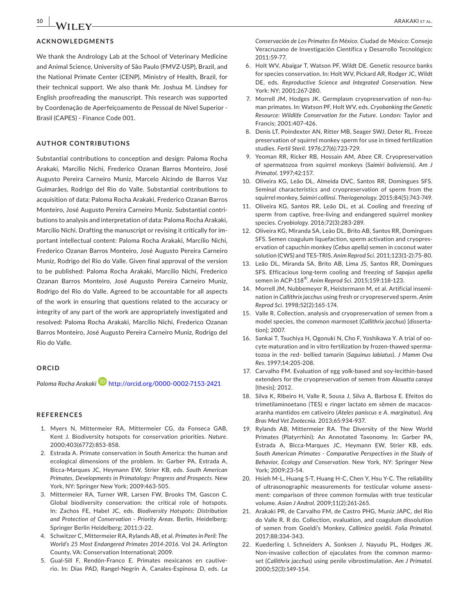# **ACKNOWLEDGMENTS**

We thank the Andrology Lab at the School of Veterinary Medicine and Animal Science, University of São Paulo (FMVZ-USP), Brazil, and the National Primate Center (CENP), Ministry of Health, Brazil, for their technical support. We also thank Mr. Joshua M. Lindsey for English proofreading the manuscript. This research was supported by Coordenação de Aperfeiçoamento de Pessoal de Nível Superior - Brasil (CAPES) - Finance Code 001.

#### **AUTHOR CONTRIBUTIONS**

Substantial contributions to conception and design: Paloma Rocha Arakaki, Marcílio Nichi, Frederico Ozanan Barros Monteiro, José Augusto Pereira Carneiro Muniz, Marcelo Alcindo de Barros Vaz Guimarães, Rodrigo del Rio do Valle. Substantial contributions to acquisition of data: Paloma Rocha Arakaki, Frederico Ozanan Barros Monteiro, José Augusto Pereira Carneiro Muniz. Substantial contributions to analysis and interpretation of data: Paloma Rocha Arakaki, Marcílio Nichi. Drafting the manuscript or revising it critically for important intellectual content: Paloma Rocha Arakaki, Marcílio Nichi, Frederico Ozanan Barros Monteiro, José Augusto Pereira Carneiro Muniz, Rodrigo del Rio do Valle. Given final approval of the version to be published: Paloma Rocha Arakaki, Marcílio Nichi, Frederico Ozanan Barros Monteiro, José Augusto Pereira Carneiro Muniz, Rodrigo del Rio do Valle. Agreed to be accountable for all aspects of the work in ensuring that questions related to the accuracy or integrity of any part of the work are appropriately investigated and resolved: Paloma Rocha Arakaki, Marcílio Nichi, Frederico Ozanan Barros Monteiro, José Augusto Pereira Carneiro Muniz, Rodrigo del Rio do Valle.

#### **ORCID**

*Paloma Rocha Arakaki* <http://orcid.org/0000-0002-7153-2421>

# **REFERENCES**

- 1. Myers N, Mittermeier RA, Mittermeier CG, da Fonseca GAB, Kent J. Biodiversity hotspots for conservation priorities. *Nature*. 2000;403(6772):853-858.
- 2. Estrada A. Primate conservation in South America: the human and ecological dimensions of the problem. In: Garber PA, Estrada A, Bicca-Marques JC, Heymann EW, Strier KB, eds. *South American Primates, Developments in Primatology: Progress and Prospects*. New York, NY: Springer New York; 2009:463‐505.
- 3. Mittermeier RA, Turner WR, Larsen FW, Brooks TM, Gascon C. Global biodiversity conservation: the critical role of hotspots. In: Zachos FE, Habel JC, eds. *Biodiversity Hotspots: Distribution and Protection of Conservation - Priority Areas*. Berlin, Heidelberg: Springer Berlin Heidelberg; 2011:3‐22.
- 4. Schwitzer C, Mittermeier RA, Rylands AB, et al. *Primates in Peril: The World's 25 Most Endangered Primates 2014-2016*. Vol 24. Arlington County, VA: Conservation International; 2009.
- 5. Gual-Sill F, Rendón-Franco E. Primates mexicanos en cautiverio. In: Dias PAD, Rangel-Negrín A, Canales-Espinosa D, eds. *La*

*Conservación de Los Primates En México*. Ciudad de México: Consejo Veracruzano de Investigación Científica y Desarrollo Tecnológico; 2011:59-77.

- 6. Holt WV, Abaigar T, Watson PF, Wildt DE. Genetic resource banks for species conservation. In: Holt WV, Pickard AR, Rodger JC, Wildt DE, eds. *Reproductive Science and Integrated Conservation*. New York: NY; 2001:267-280.
- 7. Morrell JM, Hodges JK. Germplasm cryopreservation of non-human primates. In: Watson PF, Holt WV, eds. *Cryobanking the Genetic Resource: Wildlife Conservation for the Future*. London: Taylor and Francis; 2001:407-426.
- 8. Denis LT, Poindexter AN, Ritter MB, Seager SWJ, Deter RL. Freeze preservation of squirrel monkey sperm for use in timed fertilization studies. *Fertil Steril*. 1976;27(6):723-729.
- 9. Yeoman RR, Ricker RB, Hossain AM, Abee CR. Cryopreservation of spermatozoa from squirrel monkeys (*Saimiri boliviensis*). *Am J Primatol*. 1997;42:157.
- 10. Oliveira KG, Leão DL, Almeida DVC, Santos RR, Domingues SFS. Seminal characteristics and cryopreservation of sperm from the squirrel monkey, *Saimiri collinsi*. *Theriogenology*. 2015;84(5):743-749.
- 11. Oliveira KG, Santos RR, Leão DL, et al. Cooling and freezing of sperm from captive, free-living and endangered squirrel monkey species. *Cryobiology*. 2016;72(3):283-289.
- 12. Oliveira KG, Miranda SA, Leão DL, Brito AB, Santos RR, Domingues SFS. Semen coagulum liquefaction, sperm activation and cryopreservation of capuchin monkey (*Cebus apella*) semen in coconut water solution (CWS) and TES-TRIS. *Anim Reprod Sci*. 2011;123(1-2):75-80.
- 13. Leão DL, Miranda SA, Brito AB, Lima JS, Santos RR, Domingues SFS. Efficacious long-term cooling and freezing of *Sapajus apella* semen in ACP-118®. *Anim Reprod Sci*. 2015;159:118-123.
- 14. Morrell JM, Nubbemeyer R, Heistermann M, et al. Artificial insemination in *Callithrix jacchus* using fresh or cryopreserved sperm. *Anim Reprod Sci*. 1998;52(2):165-174.
- 15. Valle R. Collection, analysis and cryopreservation of semen from a model species, the common marmoset (*Callithrix jacchus*) [dissertation]; 2007.
- 16. Sankai T, Tsuchiya H, Ogonuki N, Cho F, Yoshikawa Y. A trial of oocyte maturation and in vitro fertilization by frozen-thawed spermatozoa in the red- bellied tamarin (*Saguinus labiatus*). *J Mamm Ova Res*. 1997;14:205-208.
- 17. Carvalho FM. Evaluation of egg yolk-based and soy-lecithin-based extenders for the cryopreservation of semen from *Alouatta caraya* [thesis]: 2012.
- 18. Silva K, RIbeiro H, Valle R, Sousa J, Silva A, Barbosa E. Efeitos do trimetilaminoetano (TES) e ringer lactato em sêmen de macacosaranha mantidos em cativeiro (*Ateles paniscus* e *A. marginatus*). *Arq Bras Med Vet Zootecnia*. 2013;65:934-937.
- 19. Rylands AB, Mittermeier RA. The Diversity of the New World Primates (Platyrrhini): An Annotated Taxonomy. In: Garber PA, Estrada A, Bicca-Marques JC, Heymann EW, Strier KB, eds. *South American Primates - Comparative Perspectives in the Study of Behavior, Ecology and Conservation*. New York, NY: Springer New York; 2009:23-54.
- 20. Hsieh M-L, Huang S-T, Huang H-C, Chen Y, Hsu Y-C. The reliability of ultrasonographic measurements for testicular volume assessment: comparison of three common formulas with true testicular volume. *Asian J Androl*. 2009;11(2):261-265.
- 21. Arakaki PR, de Carvalho FM, de Castro PHG, Muniz JAPC, del Rio do Valle R. R do. Collection, evaluation, and coagulum dissolution of semen from Goeldi's Monkey, *Callimico goeldii*. *Folia Primatol*. 2017;88:334-343.
- 22. Kuederling I, Schneiders A, Sonksen J, Nayudu PL, Hodges JK. Non-invasive collection of ejaculates from the common marmoset (*Callithrix jacchus*) using penile vibrostimulation. *Am J Primatol*. 2000;52(3):149-154.